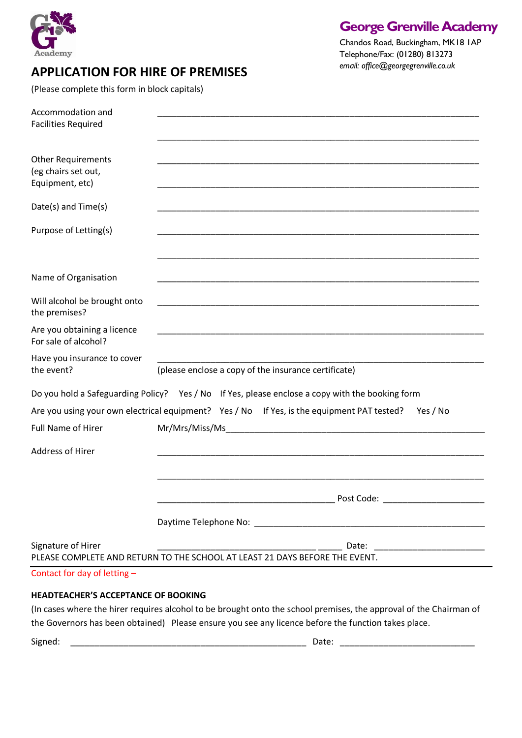

Chandos Road, Buckingham, MK18 1AP Telephone/Fax: (01280) 813273

## *email: office@georgegrenville.co.uk* **APPLICATION FOR HIRE OF PREMISES**

(Please complete this form in block capitals)

| Accommodation and<br><b>Facilities Required</b>                     |                                                                                                        |  |
|---------------------------------------------------------------------|--------------------------------------------------------------------------------------------------------|--|
| <b>Other Requirements</b><br>(eg chairs set out,<br>Equipment, etc) |                                                                                                        |  |
| Date(s) and Time(s)                                                 |                                                                                                        |  |
| Purpose of Letting(s)                                               |                                                                                                        |  |
| Name of Organisation                                                |                                                                                                        |  |
| Will alcohol be brought onto<br>the premises?                       | <u> 1989 - Johann Stoff, amerikansk politiker (d. 1989)</u>                                            |  |
| Are you obtaining a licence<br>For sale of alcohol?                 | <u> 1989 - Johann John Stone, mars eta biztanleria (h. 1989).</u>                                      |  |
| Have you insurance to cover<br>the event?                           | (please enclose a copy of the insurance certificate)                                                   |  |
|                                                                     | Do you hold a Safeguarding Policy? Yes / No If Yes, please enclose a copy with the booking form        |  |
|                                                                     | Are you using your own electrical equipment? Yes / No If Yes, is the equipment PAT tested?<br>Yes / No |  |
| <b>Full Name of Hirer</b>                                           |                                                                                                        |  |
| <b>Address of Hirer</b>                                             |                                                                                                        |  |
|                                                                     |                                                                                                        |  |
|                                                                     |                                                                                                        |  |
| Signature of Hirer                                                  | PLEASE COMPLETE AND RETURN TO THE SCHOOL AT LEAST 21 DAYS BEFORE THE EVENT.                            |  |
| Contact for day of letting -                                        |                                                                                                        |  |
| <b>HEADTEACHER'S ACCEPTANCE OF BOOKING</b>                          |                                                                                                        |  |

(In cases where the hirer requires alcohol to be brought onto the school premises, the approval of the Chairman of the Governors has been obtained) Please ensure you see any licence before the function takes place.

Signed: \_\_\_\_\_\_\_\_\_\_\_\_\_\_\_\_\_\_\_\_\_\_\_\_\_\_\_\_\_\_\_\_\_\_\_\_\_\_\_\_\_\_\_\_\_\_\_\_\_ Date: \_\_\_\_\_\_\_\_\_\_\_\_\_\_\_\_\_\_\_\_\_\_\_\_\_\_\_\_